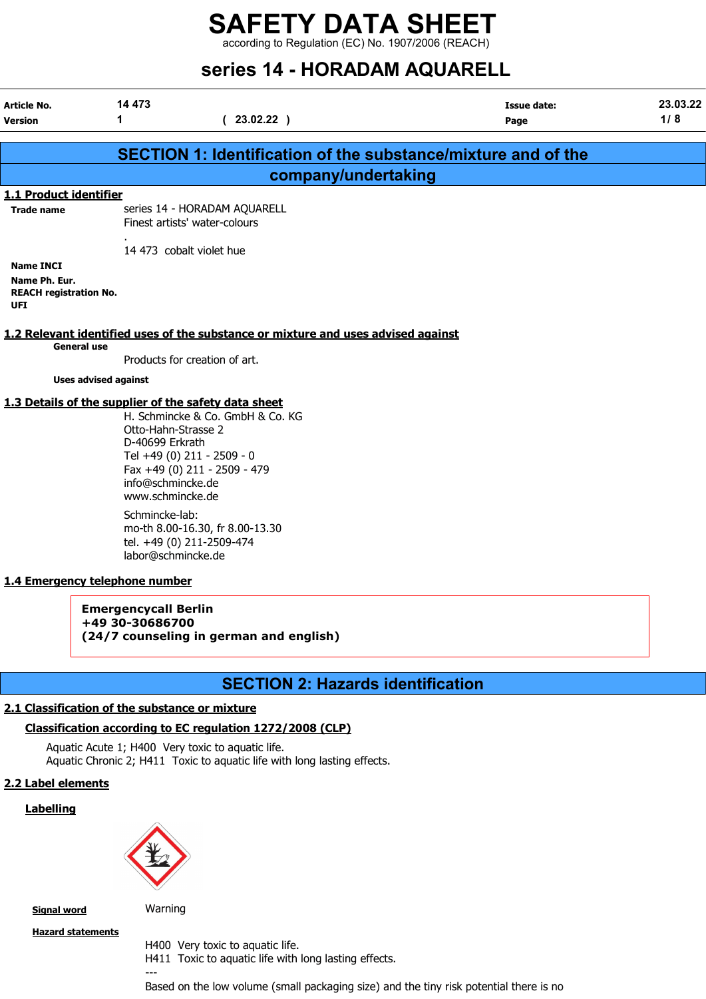according to Regulation (EC) No. 1907/2006 (REACH)

# series 14 - HORADAM AQUARELL

|                                                                                          |                                                                                                                                                                           | 96169 TT - HORADAM AQOAREEE                                                                                                                                                                                                                                       |                                                               |                 |
|------------------------------------------------------------------------------------------|---------------------------------------------------------------------------------------------------------------------------------------------------------------------------|-------------------------------------------------------------------------------------------------------------------------------------------------------------------------------------------------------------------------------------------------------------------|---------------------------------------------------------------|-----------------|
| <b>Article No.</b><br><b>Version</b>                                                     | 14 473<br>1                                                                                                                                                               | (23.02.22)                                                                                                                                                                                                                                                        | <b>Issue date:</b><br>Page                                    | 23.03.22<br>1/8 |
|                                                                                          |                                                                                                                                                                           |                                                                                                                                                                                                                                                                   |                                                               |                 |
|                                                                                          |                                                                                                                                                                           |                                                                                                                                                                                                                                                                   | SECTION 1: Identification of the substance/mixture and of the |                 |
|                                                                                          |                                                                                                                                                                           | company/undertaking                                                                                                                                                                                                                                               |                                                               |                 |
| 1.1 Product identifier<br><b>Trade name</b>                                              |                                                                                                                                                                           | series 14 - HORADAM AQUARELL<br>Finest artists' water-colours                                                                                                                                                                                                     |                                                               |                 |
| <b>Name INCI</b><br>Name Ph. Eur.<br><b>REACH registration No.</b><br>UFI                |                                                                                                                                                                           | 14 473 cobalt violet hue                                                                                                                                                                                                                                          |                                                               |                 |
| <b>General use</b>                                                                       |                                                                                                                                                                           | 1.2 Relevant identified uses of the substance or mixture and uses advised against                                                                                                                                                                                 |                                                               |                 |
|                                                                                          | <b>Uses advised against</b>                                                                                                                                               | Products for creation of art.                                                                                                                                                                                                                                     |                                                               |                 |
| 1.4 Emergency telephone number                                                           | Otto-Hahn-Strasse 2<br>D-40699 Erkrath<br>info@schmincke.de<br>www.schmincke.de<br>Schmincke-lab:<br>labor@schmincke.de<br><b>Emergencycall Berlin</b><br>+49 30-30686700 | 1.3 Details of the supplier of the safety data sheet<br>H. Schmincke & Co. GmbH & Co. KG<br>Tel +49 (0) 211 - 2509 - 0<br>Fax +49 (0) 211 - 2509 - 479<br>mo-th 8.00-16.30, fr 8.00-13.30<br>tel. +49 (0) 211-2509-474<br>(24/7 counseling in german and english) |                                                               |                 |
|                                                                                          |                                                                                                                                                                           | <b>SECTION 2: Hazards identification</b>                                                                                                                                                                                                                          |                                                               |                 |
| 2.1 Classification of the substance or mixture<br>2.2 Label elements<br><b>Labelling</b> |                                                                                                                                                                           | Classification according to EC regulation 1272/2008 (CLP)<br>Aquatic Acute 1; H400 Very toxic to aquatic life.<br>Aquatic Chronic 2; H411 Toxic to aquatic life with long lasting effects.                                                                        |                                                               |                 |

Signal word Warning

---

**Hazard statements** 

H400 Very toxic to aquatic life.

H411 Toxic to aquatic life with long lasting effects.

Based on the low volume (small packaging size) and the tiny risk potential there is no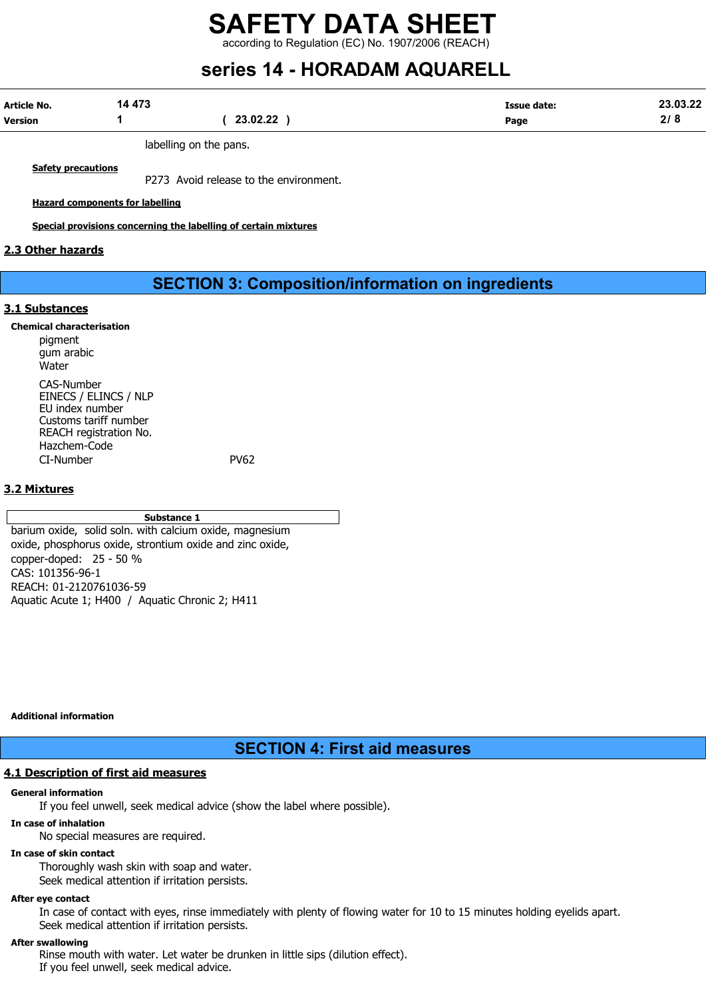according to Regulation (EC) No. 1907/2006 (REACH)

# series 14 - HORADAM AQUARELL

| Article No. | 14 473 |          | Issue date:<br>$\begin{array}{cccccccccccccc} \multicolumn{4}{c}{} & \multicolumn{4}{c}{} & \multicolumn{4}{c}{} & \multicolumn{4}{c}{} & \multicolumn{4}{c}{} & \multicolumn{4}{c}{} & \multicolumn{4}{c}{} & \multicolumn{4}{c}{} & \multicolumn{4}{c}{} & \multicolumn{4}{c}{} & \multicolumn{4}{c}{} & \multicolumn{4}{c}{} & \multicolumn{4}{c}{} & \multicolumn{4}{c}{} & \multicolumn{4}{c}{} & \multicolumn{4}{c}{} & \multicolumn{4}{c}{} & \multicolumn{4}{c}{} & \multicolumn{4}{c}{} & \$ | 23.03.22 |
|-------------|--------|----------|-------------------------------------------------------------------------------------------------------------------------------------------------------------------------------------------------------------------------------------------------------------------------------------------------------------------------------------------------------------------------------------------------------------------------------------------------------------------------------------------------------|----------|
| Version     |        | 23.02.22 | Page                                                                                                                                                                                                                                                                                                                                                                                                                                                                                                  | л.       |

labelling on the pans.

**Safety precautions** 

P273 Avoid release to the environment.

Hazard components for labelling

Special provisions concerning the labelling of certain mixtures

#### 2.3 Other hazards

### SECTION 3: Composition/information on ingredients

#### 3.1 Substances

Chemical characterisation pigment gum arabic Water CAS-Number EINECS / ELINCS / NLP EU index number Customs tariff number REACH registration No. Hazchem-Code CI-Number PV62

#### 3.2 Mixtures

#### Substance 1

barium oxide, solid soln. with calcium oxide, magnesium oxide, phosphorus oxide, strontium oxide and zinc oxide, copper-doped: 25 - 50 % CAS: 101356-96-1 REACH: 01-2120761036-59 Aquatic Acute 1; H400 / Aquatic Chronic 2; H411

Additional information

SECTION 4: First aid measures

#### 4.1 Description of first aid measures

#### General information

If you feel unwell, seek medical advice (show the label where possible).

#### In case of inhalation

No special measures are required.

#### In case of skin contact

Thoroughly wash skin with soap and water. Seek medical attention if irritation persists.

#### After eye contact

In case of contact with eyes, rinse immediately with plenty of flowing water for 10 to 15 minutes holding eyelids apart. Seek medical attention if irritation persists.

#### After swallowing

Rinse mouth with water. Let water be drunken in little sips (dilution effect). If you feel unwell, seek medical advice.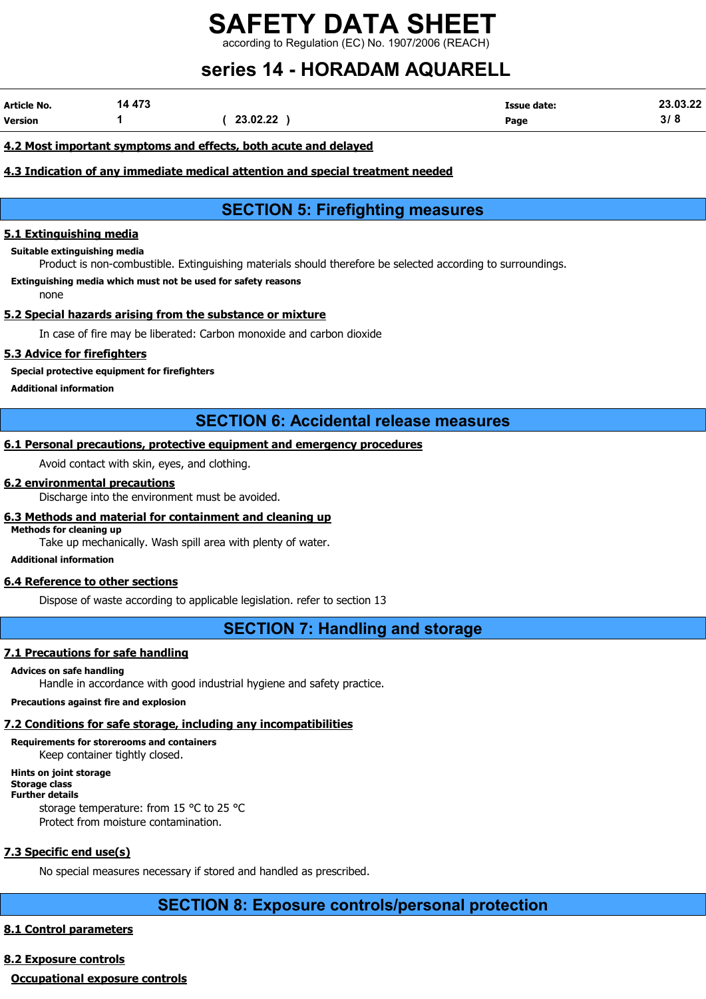ing to Regulation (EC) No. 1907/2006 (REACH)

# series 14 - HORADAM AQUARELL

| Article No.    | 14 473 |          | <b>Issue date:</b> | 23.03.22 |
|----------------|--------|----------|--------------------|----------|
| <b>Version</b> |        | 23.02.22 | Page               | ט וכ     |

#### 4.2 Most important symptoms and effects, both acute and delayed

#### 4.3 Indication of any immediate medical attention and special treatment needed

## SECTION 5: Firefighting measures

#### 5.1 Extinguishing media

Suitable extinguishing media

Product is non-combustible. Extinguishing materials should therefore be selected according to surroundings.

Extinguishing media which must not be used for safety reasons

none

#### 5.2 Special hazards arising from the substance or mixture

In case of fire may be liberated: Carbon monoxide and carbon dioxide

#### 5.3 Advice for firefighters

Special protective equipment for firefighters

Additional information

## SECTION 6: Accidental release measures

#### 6.1 Personal precautions, protective equipment and emergency procedures

Avoid contact with skin, eyes, and clothing.

#### 6.2 environmental precautions

Discharge into the environment must be avoided.

#### 6.3 Methods and material for containment and cleaning up

Methods for cleaning up

Take up mechanically. Wash spill area with plenty of water.

Additional information

#### 6.4 Reference to other sections

Dispose of waste according to applicable legislation. refer to section 13

## SECTION 7: Handling and storage

#### 7.1 Precautions for safe handling

#### Advices on safe handling

Handle in accordance with good industrial hygiene and safety practice.

#### Precautions against fire and explosion

### 7.2 Conditions for safe storage, including any incompatibilities

Requirements for storerooms and containers

Keep container tightly closed.

#### Hints on joint storage Storage class

Further details

storage temperature: from 15 °C to 25 °C Protect from moisture contamination.

### 7.3 Specific end use(s)

No special measures necessary if stored and handled as prescribed.

## SECTION 8: Exposure controls/personal protection

## 8.1 Control parameters

### 8.2 Exposure controls

Occupational exposure controls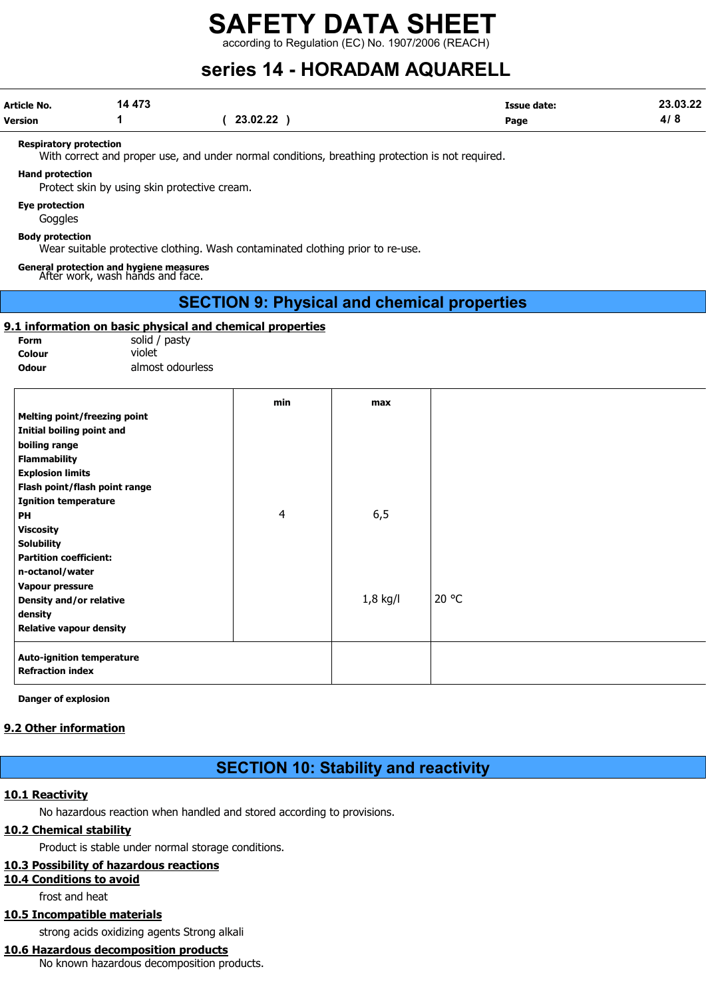according to Regulation (EC) No. 1907/2006 (REACH)

# series 14 - HORADAM AQUARELL

| Article No.    | 14 473 |          | <b>Issue date:</b> | 23.03.22 |
|----------------|--------|----------|--------------------|----------|
| <b>Version</b> |        | 23.02.22 | Page               | 4/8      |

#### Respiratory protection

With correct and proper use, and under normal conditions, breathing protection is not required.

#### Hand protection

Protect skin by using skin protective cream.

Eye protection

**Goggles** 

Body protection

Wear suitable protective clothing. Wash contaminated clothing prior to re-use.

General protection and hygiene measures After work, wash hands and face.

## SECTION 9: Physical and chemical properties

#### 9.1 information on basic physical and chemical properties

Form solid / pasty Colour violet

Odour almost odourless

| min<br>max<br><b>Melting point/freezing point</b><br>Initial boiling point and<br>boiling range<br><b>Flammability</b><br><b>Explosion limits</b><br>Flash point/flash point range<br><b>Ignition temperature</b><br>6, 5<br>4<br>PH<br><b>Viscosity</b><br><b>Solubility</b><br><b>Partition coefficient:</b><br>n-octanol/water<br>Vapour pressure<br>20 °C<br>$1,8$ kg/l<br>Density and/or relative<br>density<br><b>Relative vapour density</b><br><b>Auto-ignition temperature</b><br><b>Refraction index</b> |  |  |
|--------------------------------------------------------------------------------------------------------------------------------------------------------------------------------------------------------------------------------------------------------------------------------------------------------------------------------------------------------------------------------------------------------------------------------------------------------------------------------------------------------------------|--|--|
|                                                                                                                                                                                                                                                                                                                                                                                                                                                                                                                    |  |  |
|                                                                                                                                                                                                                                                                                                                                                                                                                                                                                                                    |  |  |
|                                                                                                                                                                                                                                                                                                                                                                                                                                                                                                                    |  |  |
|                                                                                                                                                                                                                                                                                                                                                                                                                                                                                                                    |  |  |
|                                                                                                                                                                                                                                                                                                                                                                                                                                                                                                                    |  |  |
|                                                                                                                                                                                                                                                                                                                                                                                                                                                                                                                    |  |  |
|                                                                                                                                                                                                                                                                                                                                                                                                                                                                                                                    |  |  |
|                                                                                                                                                                                                                                                                                                                                                                                                                                                                                                                    |  |  |
|                                                                                                                                                                                                                                                                                                                                                                                                                                                                                                                    |  |  |
|                                                                                                                                                                                                                                                                                                                                                                                                                                                                                                                    |  |  |
|                                                                                                                                                                                                                                                                                                                                                                                                                                                                                                                    |  |  |
|                                                                                                                                                                                                                                                                                                                                                                                                                                                                                                                    |  |  |
|                                                                                                                                                                                                                                                                                                                                                                                                                                                                                                                    |  |  |
|                                                                                                                                                                                                                                                                                                                                                                                                                                                                                                                    |  |  |
|                                                                                                                                                                                                                                                                                                                                                                                                                                                                                                                    |  |  |
|                                                                                                                                                                                                                                                                                                                                                                                                                                                                                                                    |  |  |
|                                                                                                                                                                                                                                                                                                                                                                                                                                                                                                                    |  |  |
|                                                                                                                                                                                                                                                                                                                                                                                                                                                                                                                    |  |  |
|                                                                                                                                                                                                                                                                                                                                                                                                                                                                                                                    |  |  |

Danger of explosion

#### 9.2 Other information

SECTION 10: Stability and reactivity

#### 10.1 Reactivity

No hazardous reaction when handled and stored according to provisions.

#### 10.2 Chemical stability

Product is stable under normal storage conditions.

#### 10.3 Possibility of hazardous reactions

#### 10.4 Conditions to avoid

frost and heat

### 10.5 Incompatible materials

strong acids oxidizing agents Strong alkali

#### 10.6 Hazardous decomposition products

No known hazardous decomposition products.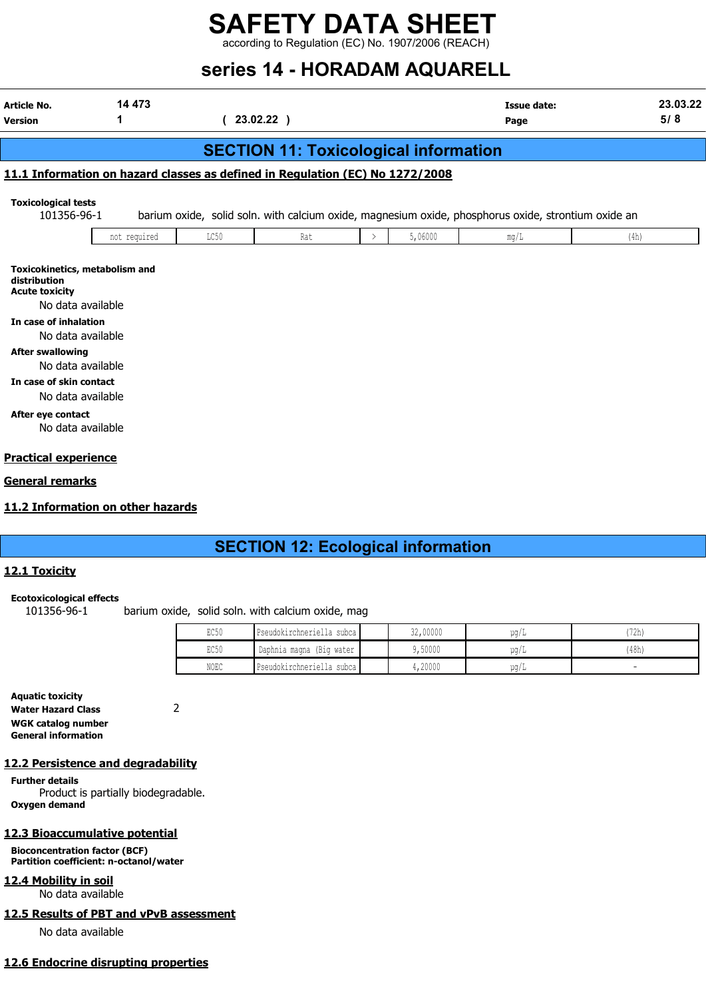according to Regulation (EC) No. 1907/2006 (REACH)

# series 14 - HORADAM AQUARELL

| <b>Article No.</b><br><b>Version</b>                                                                                                                                                                                                               | 14 473                                               |      | 23.02.22 )                                                                    |               |         | <b>Issue date:</b><br>Page                                                                          |      | 23.03.22<br>5/8 |
|----------------------------------------------------------------------------------------------------------------------------------------------------------------------------------------------------------------------------------------------------|------------------------------------------------------|------|-------------------------------------------------------------------------------|---------------|---------|-----------------------------------------------------------------------------------------------------|------|-----------------|
|                                                                                                                                                                                                                                                    |                                                      |      | <b>SECTION 11: Toxicological information</b>                                  |               |         |                                                                                                     |      |                 |
|                                                                                                                                                                                                                                                    |                                                      |      | 11.1 Information on hazard classes as defined in Regulation (EC) No 1272/2008 |               |         |                                                                                                     |      |                 |
| <b>Toxicological tests</b><br>101356-96-1                                                                                                                                                                                                          |                                                      |      |                                                                               |               |         | barium oxide, solid soln. with calcium oxide, magnesium oxide, phosphorus oxide, strontium oxide an |      |                 |
|                                                                                                                                                                                                                                                    | not required                                         | LC50 | Rat                                                                           | $\rightarrow$ | 5,06000 | mg/L                                                                                                | (4h) |                 |
| distribution<br><b>Acute toxicity</b><br>No data available<br>In case of inhalation<br>No data available<br><b>After swallowing</b><br>No data available<br>In case of skin contact<br>No data available<br>After eye contact<br>No data available |                                                      |      |                                                                               |               |         |                                                                                                     |      |                 |
| <b>Practical experience</b>                                                                                                                                                                                                                        |                                                      |      |                                                                               |               |         |                                                                                                     |      |                 |
| General remarks                                                                                                                                                                                                                                    |                                                      |      |                                                                               |               |         |                                                                                                     |      |                 |
|                                                                                                                                                                                                                                                    | did to the former officers are realized to a conduct |      |                                                                               |               |         |                                                                                                     |      |                 |

#### 11.2 Information on other hazards

## SECTION 12: Ecological information

#### 12.1 Toxicity

#### Ecotoxicological effects

101356-96-1 barium oxide, solid soln. with calcium oxide, mag

| EC50             | Pseudokirchneriella subca | 32,00000 | ua/L | '72h) |
|------------------|---------------------------|----------|------|-------|
| EC <sub>50</sub> | Daphnia magna (Big water  | ,50000   | ug/L | (48h) |
| NOEC             | Pseudokirchneriella subca | 4,20000  | ug/L |       |

Aquatic toxicity Water Hazard Class 2 WGK catalog number General information

#### 12.2 Persistence and degradability

Further details Product is partially biodegradable. Oxygen demand

#### 12.3 Bioaccumulative potential

Bioconcentration factor (BCF) Partition coefficient: n-octanol/water

12.4 Mobility in soil

No data available

#### 12.5 Results of PBT and vPvB assessment

No data available

#### 12.6 Endocrine disrupting properties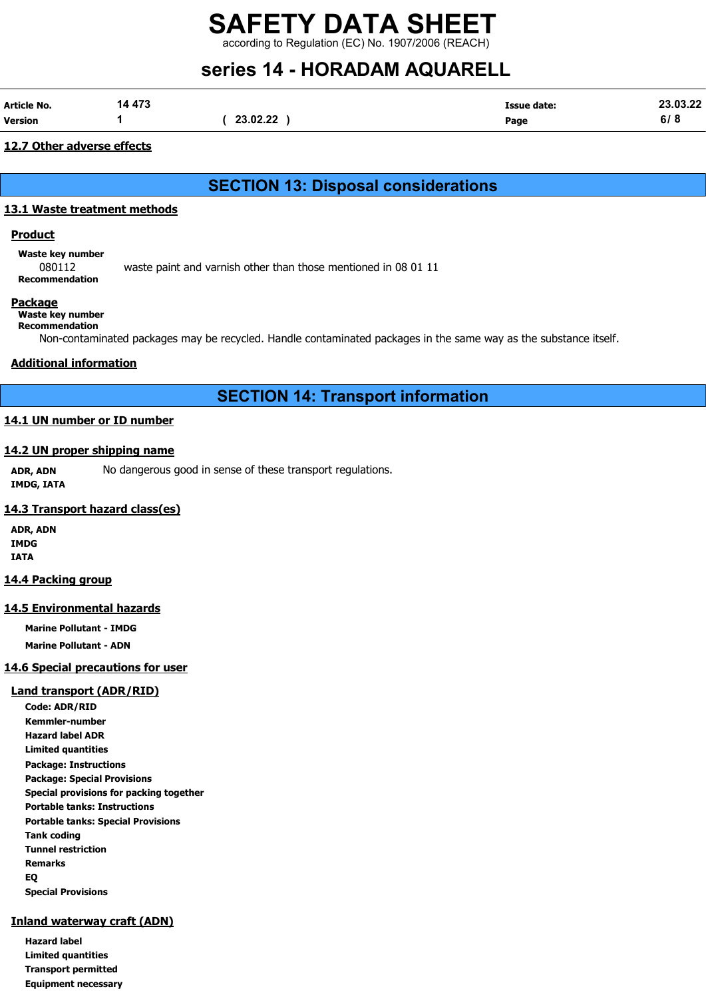according to Regulation (EC) No. 1907/2006 (REACH)

# series 14 - HORADAM AQUARELL

| Article No.    | 14 473 |          | <b>Issue date:</b> | 23.03.22      |
|----------------|--------|----------|--------------------|---------------|
| <b>Version</b> |        | 23.02.22 | Page               | 2 I Q<br>ס וס |

#### 12.7 Other adverse effects

SECTION 13: Disposal considerations

#### 13.1 Waste treatment methods

#### <u>Product</u>

Waste key number

080112 waste paint and varnish other than those mentioned in 08 01 11 Recommendation

#### **Package**

#### Waste key number Recommendation

Non-contaminated packages may be recycled. Handle contaminated packages in the same way as the substance itself.

#### Additional information

## SECTION 14: Transport information

### 14.1 UN number or ID number

#### 14.2 UN proper shipping name

ADR, ADN No dangerous good in sense of these transport regulations. IMDG, IATA

#### 14.3 Transport hazard class(es)

ADR, ADN IMDG IATA

#### 14.4 Packing group

#### 14.5 Environmental hazards

Marine Pollutant - IMDG

Marine Pollutant - ADN

#### 14.6 Special precautions for user

#### Land transport (ADR/RID)

Code: ADR/RID Kemmler-number Hazard label ADR Limited quantities Package: Instructions Package: Special Provisions Special provisions for packing together Portable tanks: Instructions Portable tanks: Special Provisions Tank coding Tunnel restriction Remarks EQ Special Provisions

#### Inland waterway craft (ADN)

Hazard label Limited quantities Transport permitted Equipment necessary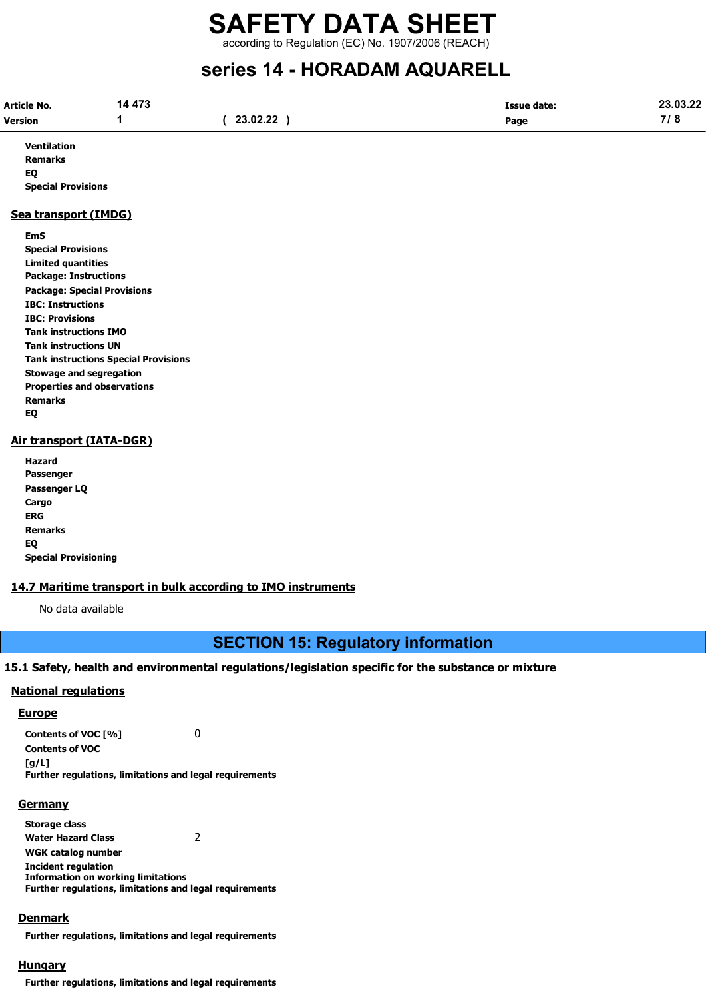according to Regulation (EC) No. 1907/2006 (REACH)

# series 14 - HORADAM AQUARELL

| Article No. | 14 473 |          | Issue date: | 23.03.22                           |
|-------------|--------|----------|-------------|------------------------------------|
| Version     |        | 23.02.22 | Page        | 710<br>$\boldsymbol{\mathsf{1}}$ o |

Ventilation Remarks EQ Special Provisions

#### Sea transport (IMDG)

EmS Special Provisions Limited quantities Package: Instructions Package: Special Provisions IBC: Instructions IBC: Provisions Tank instructions IMO Tank instructions UN Tank instructions Special Provisions Stowage and segregation Properties and observations Remarks EQ

#### Air transport (IATA-DGR)

Hazard Passenger Passenger LQ Cargo ERG Remarks EQ Special Provisioning

#### 14.7 Maritime transport in bulk according to IMO instruments

No data available

## SECTION 15: Regulatory information

#### 15.1 Safety, health and environmental regulations/legislation specific for the substance or mixture

#### National regulations

#### **Europe**

Contents of VOC [%] 0 Contents of VOC  $[a/L]$ Further regulations, limitations and legal requirements

#### **Germany**

Storage class Water Hazard Class 2 WGK catalog number Incident regulation Information on working limitations Further regulations, limitations and legal requirements

#### Denmark

Further regulations, limitations and legal requirements

#### **Hungary**

Further regulations, limitations and legal requirements